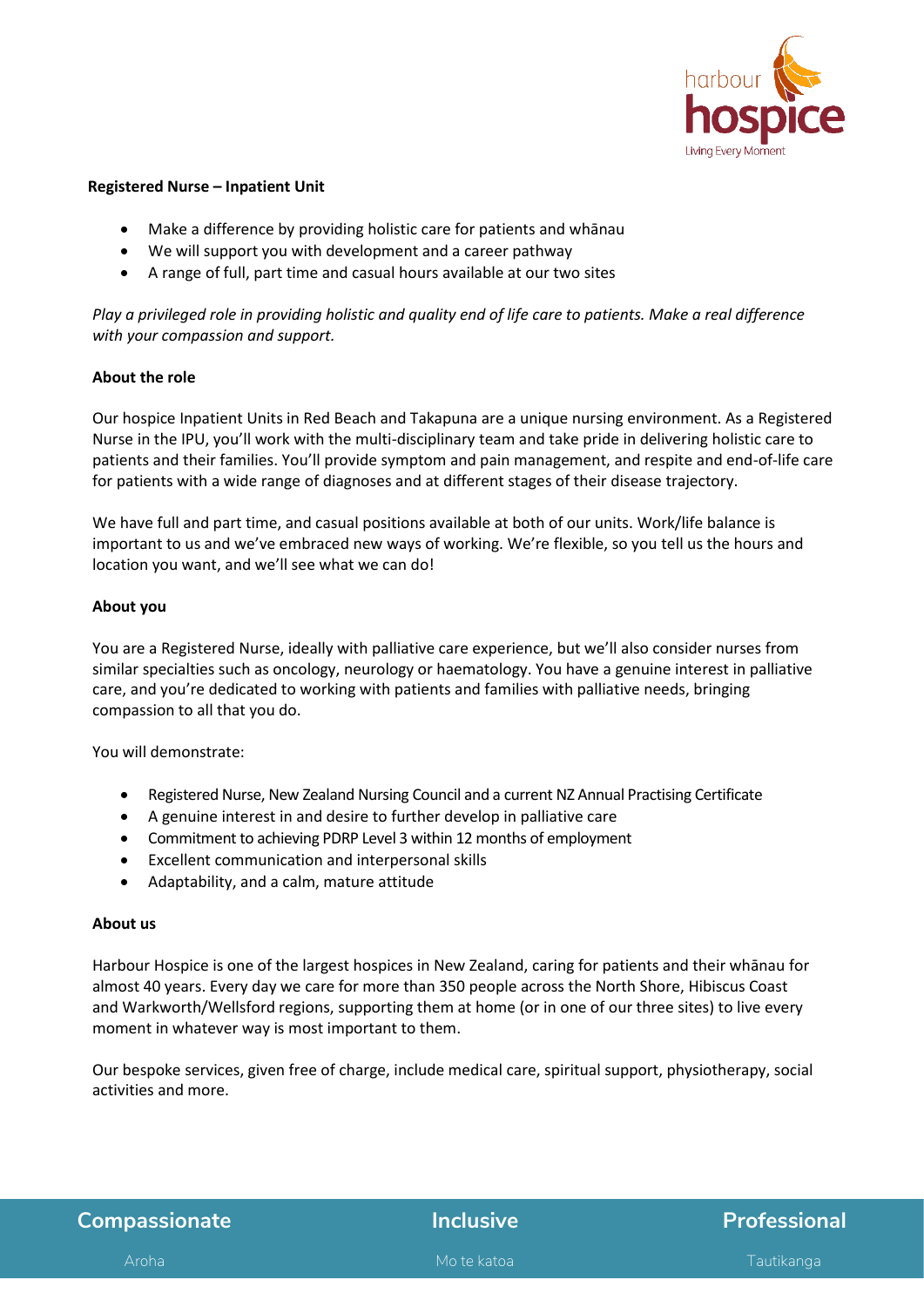

## **Registered Nurse – Inpatient Unit**

- Make a difference by providing holistic care for patients and whānau
- We will support you with development and a career pathway
- A range of full, part time and casual hours available at our two sites

*Play a privileged role in providing holistic and quality end of life care to patients. Make a real difference with your compassion and support.* 

## **About the role**

Our hospice Inpatient Units in Red Beach and Takapuna are a unique nursing environment. As a Registered Nurse in the IPU, you'll work with the multi-disciplinary team and take pride in delivering holistic care to patients and their families. You'll provide symptom and pain management, and respite and end-of-life care for patients with a wide range of diagnoses and at different stages of their disease trajectory.

We have full and part time, and casual positions available at both of our units. Work/life balance is important to us and we've embraced new ways of working. We're flexible, so you tell us the hours and location you want, and we'll see what we can do!

## **About you**

You are a Registered Nurse, ideally with palliative care experience, but we'll also consider nurses from similar specialties such as oncology, neurology or haematology. You have a genuine interest in palliative care, and you're dedicated to working with patients and families with palliative needs, bringing compassion to all that you do.

You will demonstrate:

- Registered Nurse, New Zealand Nursing Council and a current NZ Annual Practising Certificate
- A genuine interest in and desire to further develop in palliative care
- Commitment to achieving PDRP Level 3 within 12 months of employment
- Excellent communication and interpersonal skills
- Adaptability, and a calm, mature attitude

## **About us**

Harbour Hospice is one of the largest hospices in New Zealand, caring for patients and their whānau for almost 40 years. Every day we care for more than 350 people across the North Shore, Hibiscus Coast and Warkworth/Wellsford regions, supporting them at home (or in one of our three sites) to live every moment in whatever way is most important to them. 

Our bespoke services, given free of charge, include medical care, spiritual support, physiotherapy, social activities and more.

| <b>Compassionate</b> |  |  |
|----------------------|--|--|
|                      |  |  |

# **Compassionate Inclusive Professional**

Aroha Mo te katoa Tautikanga